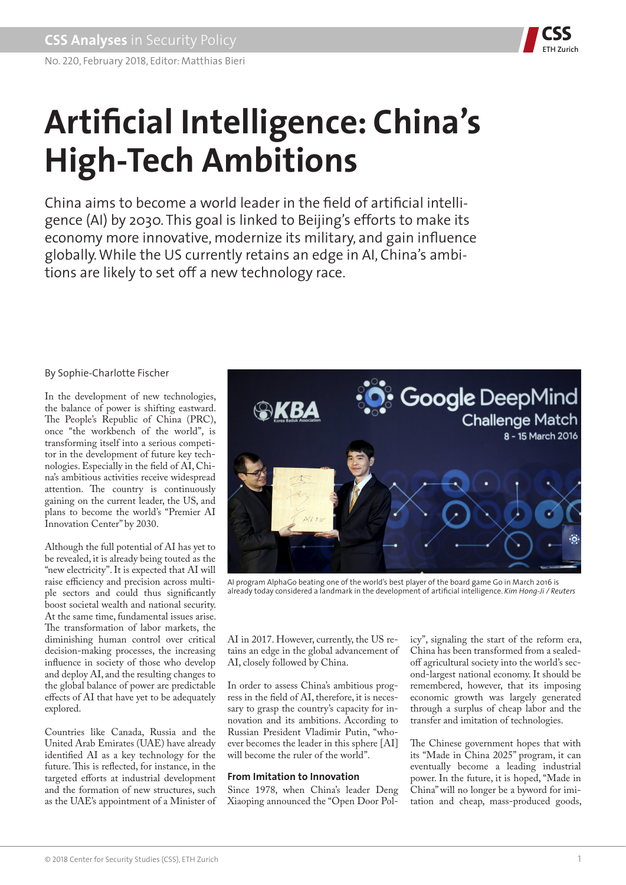

# **Artificial Intelligence: China's High-Tech Ambitions**

China aims to become a world leader in the field of artificial intelligence (AI) by 2030. This goal is linked to Beijing's efforts to make its economy more innovative, modernize its military, and gain influence globally. While the US currently retains an edge in AI, China's ambitions are likely to set off a new technology race.

# By Sophie-Charlotte Fischer

In the development of new technologies, the balance of power is shifting eastward. The People's Republic of China (PRC), once "the workbench of the world", is transforming itself into a serious competitor in the development of future key technologies. Especially in the field of AI, China's ambitious activities receive widespread attention. The country is continuously gaining on the current leader, the US, and plans to become the world's "Premier AI Innovation Center" by 2030.

Although the full potential of AI has yet to be revealed, it is already being touted as the "new electricity". It is expected that AI will raise efficiency and precision across multiple sectors and could thus significantly boost societal wealth and national security. At the same time, fundamental issues arise. The transformation of labor markets, the diminishing human control over critical decision-making processes, the increasing influence in society of those who develop and deploy AI, and the resulting changes to the global balance of power are predictable effects of AI that have yet to be adequately explored.

Countries like Canada, Russia and the United Arab Emirates (UAE) have already identified AI as a key technology for the future. This is reflected, for instance, in the targeted efforts at industrial development and the formation of new structures, such as the UAE's appointment of a Minister of



AI program AlphaGo beating one of the world's best player of the board game Go in March 2016 is already today considered a landmark in the development of artificial intelligence. *Kim Hong-Ji / Reuters*

AI in 2017. However, currently, the US retains an edge in the global advancement of AI, closely followed by China.

In order to assess China's ambitious progress in the field of AI, therefore, it is necessary to grasp the country's capacity for innovation and its ambitions. According to Russian President Vladimir Putin, "whoever becomes the leader in this sphere [AI] will become the ruler of the world".

# **From Imitation to Innovation**

Since 1978, when China's leader Deng Xiaoping announced the "Open Door Policy", signaling the start of the reform era, China has been transformed from a sealedoff agricultural society into the world's second-largest national economy. It should be remembered, however, that its imposing economic growth was largely generated through a surplus of cheap labor and the transfer and imitation of technologies.

The Chinese government hopes that with its "Made in China 2025" program, it can eventually become a leading industrial power. In the future, it is hoped, "Made in China" will no longer be a byword for imitation and cheap, mass-produced goods,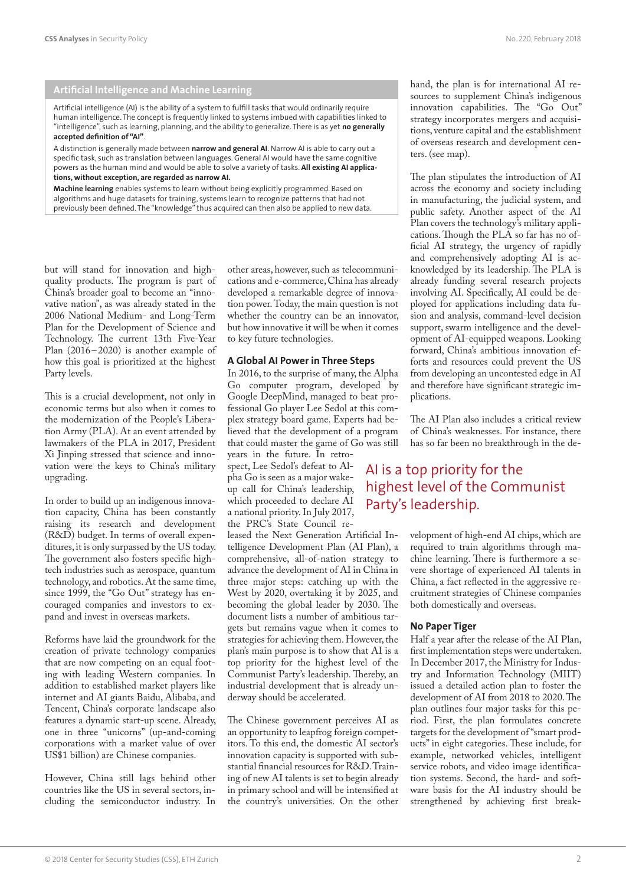## **Artificial Intelligence and Machine Learning**

Artificial intelligence (AI) is the ability of a system to fulfill tasks that would ordinarily require human intelligence. The concept is frequently linked to systems imbued with capabilities linked to "intelligence", such as learning, planning, and the ability to generalize. There is as yet **no generally accepted definition of "AI"**.

A distinction is generally made between **narrow and general AI**. Narrow AI is able to carry out a specific task, such as translation between languages. General AI would have the same cognitive powers as the human mind and would be able to solve a variety of tasks. **All existing AI applications, without exception, are regarded as narrow AI.**

**Machine learning** enables systems to learn without being explicitly programmed. Based on algorithms and huge datasets for training, systems learn to recognize patterns that had not previously been defined. The "knowledge" thus acquired can then also be applied to new data.

but will stand for innovation and highquality products. The program is part of China's broader goal to become an "innovative nation", as was already stated in the 2006 National Medium- and Long-Term Plan for the Development of Science and Technology. The current 13th Five-Year Plan (2016–2020) is another example of how this goal is prioritized at the highest Party levels.

This is a crucial development, not only in economic terms but also when it comes to the modernization of the People's Liberation Army (PLA). At an event attended by lawmakers of the PLA in 2017, President Xi Jinping stressed that science and innovation were the keys to China's military upgrading.

In order to build up an indigenous innovation capacity, China has been constantly raising its research and development (R&D) budget. In terms of overall expenditures, it is only surpassed by the US today. The government also fosters specific hightech industries such as aerospace, quantum technology, and robotics. At the same time, since 1999, the "Go Out" strategy has encouraged companies and investors to expand and invest in overseas markets.

Reforms have laid the groundwork for the creation of private technology companies that are now competing on an equal footing with leading Western companies. In addition to established market players like internet and AI giants Baidu, Alibaba, and Tencent, China's corporate landscape also features a dynamic start-up scene. Already, one in three "unicorns" (up-and-coming corporations with a market value of over US\$1 billion) are Chinese companies.

However, China still lags behind other countries like the US in several sectors, including the semiconductor industry. In other areas, however, such as telecommunications and e-commerce, China has already developed a remarkable degree of innovation power. Today, the main question is not whether the country can be an innovator, but how innovative it will be when it comes to key future technologies.

#### **A Global AI Power in Three Steps**

In 2016, to the surprise of many, the Alpha Go computer program, developed by Google DeepMind, managed to beat professional Go player Lee Sedol at this complex strategy board game. Experts had believed that the development of a program that could master the game of Go was still years in the future. In retrospect, Lee Sedol's defeat to Alpha Go is seen as a major wakeup call for China's leadership, which proceeded to declare AI a national priority. In July 2017, the PRC's State Council released the Next Generation Artificial In-

telligence Development Plan (AI Plan), a comprehensive, all-of-nation strategy to advance the development of AI in China in three major steps: catching up with the West by 2020, overtaking it by 2025, and becoming the global leader by 2030. The document lists a number of ambitious targets but remains vague when it comes to strategies for achieving them. However, the plan's main purpose is to show that AI is a top priority for the highest level of the Communist Party's leadership. Thereby, an industrial development that is already underway should be accelerated.

The Chinese government perceives AI as an opportunity to leapfrog foreign competitors. To this end, the domestic AI sector's innovation capacity is supported with substantial financial resources for R&D. Training of new AI talents is set to begin already in primary school and will be intensified at the country's universities. On the other hand, the plan is for international AI resources to supplement China's indigenous innovation capabilities. The "Go Out" strategy incorporates mergers and acquisitions, venture capital and the establishment of overseas research and development centers. (see map).

The plan stipulates the introduction of AI across the economy and society including in manufacturing, the judicial system, and public safety. Another aspect of the AI Plan covers the technology's military applications. Though the PLA so far has no official AI strategy, the urgency of rapidly and comprehensively adopting AI is acknowledged by its leadership. The PLA is already funding several research projects involving AI. Specifically, AI could be deployed for applications including data fusion and analysis, command-level decision support, swarm intelligence and the development of AI-equipped weapons. Looking forward, China's ambitious innovation efforts and resources could prevent the US from developing an uncontested edge in AI and therefore have significant strategic implications.

The AI Plan also includes a critical review of China's weaknesses. For instance, there has so far been no breakthrough in the de-

# AI is a top priority for the highest level of the Communist Party's leadership.

velopment of high-end AI chips, which are required to train algorithms through machine learning. There is furthermore a severe shortage of experienced AI talents in China, a fact reflected in the aggressive recruitment strategies of Chinese companies both domestically and overseas.

#### **No Paper Tiger**

Half a year after the release of the AI Plan, first implementation steps were undertaken. In December 2017, the Ministry for Industry and Information Technology (MIIT) issued a detailed action plan to foster the development of AI from 2018 to 2020. The plan outlines four major tasks for this period. First, the plan formulates concrete targets for the development of "smart products" in eight categories. These include, for example, networked vehicles, intelligent service robots, and video image identification systems. Second, the hard- and software basis for the AI industry should be strengthened by achieving first break-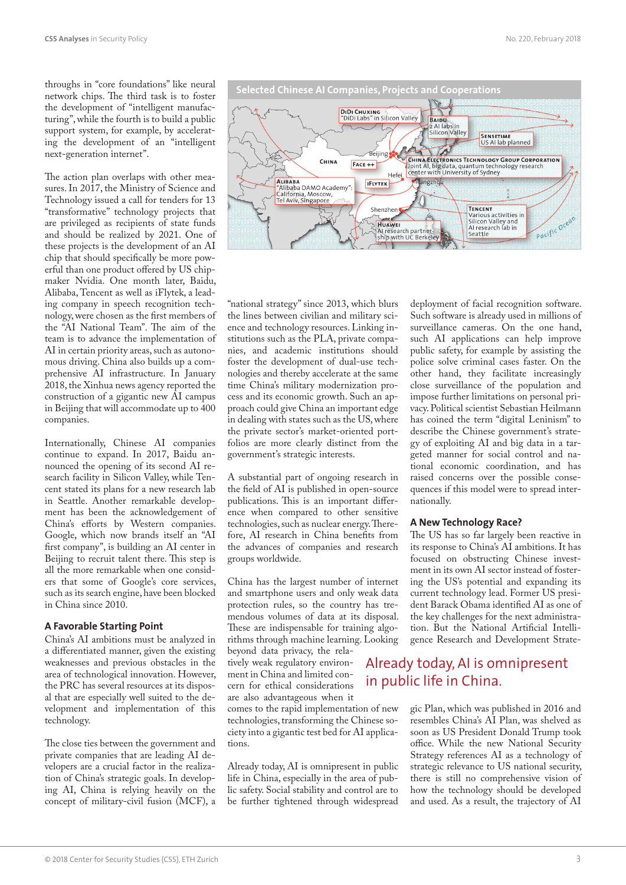throughs in "core foundations" like neural network chips. The third task is to foster the development of "intelligent manufacturing", while the fourth is to build a public support system, for example, by accelerating the development of an "intelligent next-generation internet".

The action plan overlaps with other measures. In 2017, the Ministry of Science and Technology issued a call for tenders for 13 "transformative" technology projects that are privileged as recipients of state funds and should be realized by 2021. One of these projects is the development of an AI chip that should specifically be more powerful than one product offered by US chipmaker Nvidia. One month later, Baidu, Alibaba, Tencent as well as iFlytek, a leading company in speech recognition technology, were chosen as the first members of the "AI National Team". The aim of the team is to advance the implementation of AI in certain priority areas, such as autonomous driving. China also builds up a comprehensive AI infrastructure. In January 2018, the Xinhua news agency reported the construction of a gigantic new AI campus in Beijing that will accommodate up to 400 companies.

Internationally, Chinese AI companies continue to expand. In 2017, Baidu announced the opening of its second AI research facility in Silicon Valley, while Tencent stated its plans for a new research lab in Seattle. Another remarkable development has been the acknowledgement of China's efforts by Western companies. Google, which now brands itself an "AI first company", is building an AI center in Beijing to recruit talent there. This step is all the more remarkable when one considers that some of Google's core services, such as its search engine, have been blocked in China since 2010.

## **A Favorable Starting Point**

China's AI ambitions must be analyzed in a differentiated manner, given the existing weaknesses and previous obstacles in the area of technological innovation. However, the PRC has several resources at its disposal that are especially well suited to the development and implementation of this technology.

The close ties between the government and private companies that are leading AI developers are a crucial factor in the realization of China's strategic goals. In developing AI, China is relying heavily on the concept of military-civil fusion (MCF), a

"national strategy" since 2013, which blurs the lines between civilian and military science and technology resources. Linking institutions such as the PLA, private companies, and academic institutions should foster the development of dual-use technologies and thereby accelerate at the same time China's military modernization process and its economic growth. Such an approach could give China an important edge in dealing with states such as the US, where the private sector's market-oriented portfolios are more clearly distinct from the government's strategic interests.

A substantial part of ongoing research in the field of AI is published in open-source publications. This is an important difference when compared to other sensitive technologies, such as nuclear energy. Therefore, AI research in China benefits from the advances of companies and research groups worldwide.

China has the largest number of internet and smartphone users and only weak data protection rules, so the country has tremendous volumes of data at its disposal. These are indispensable for training algorithms through machine learning. Looking

beyond data privacy, the relatively weak regulatory environment in China and limited concern for ethical considerations are also advantageous when it

comes to the rapid implementation of new technologies, transforming the Chinese society into a gigantic test bed for AI applications.

Already today, AI is omnipresent in public life in China, especially in the area of public safety. Social stability and control are to be further tightened through widespread

deployment of facial recognition software. Such software is already used in millions of surveillance cameras. On the one hand, such AI applications can help improve public safety, for example by assisting the police solve criminal cases faster. On the other hand, they facilitate increasingly close surveillance of the population and impose further limitations on personal privacy. Political scientist Sebastian Heilmann has coined the term "digital Leninism" to describe the Chinese government's strategy of exploiting AI and big data in a targeted manner for social control and national economic coordination, and has raised concerns over the possible consequences if this model were to spread internationally.

#### **A New Technology Race?**

The US has so far largely been reactive in its response to China's AI ambitions. It has focused on obstructing Chinese investment in its own AI sector instead of fostering the US's potential and expanding its current technology lead. Former US president Barack Obama identified AI as one of the key challenges for the next administration. But the National Artificial Intelligence Research and Development Strate-

# Already today, AI is omnipresent in public life in China.

gic Plan, which was published in 2016 and resembles China's AI Plan, was shelved as soon as US President Donald Trump took office. While the new National Security Strategy references AI as a technology of strategic relevance to US national security, there is still no comprehensive vision of how the technology should be developed and used. As a result, the trajectory of AI